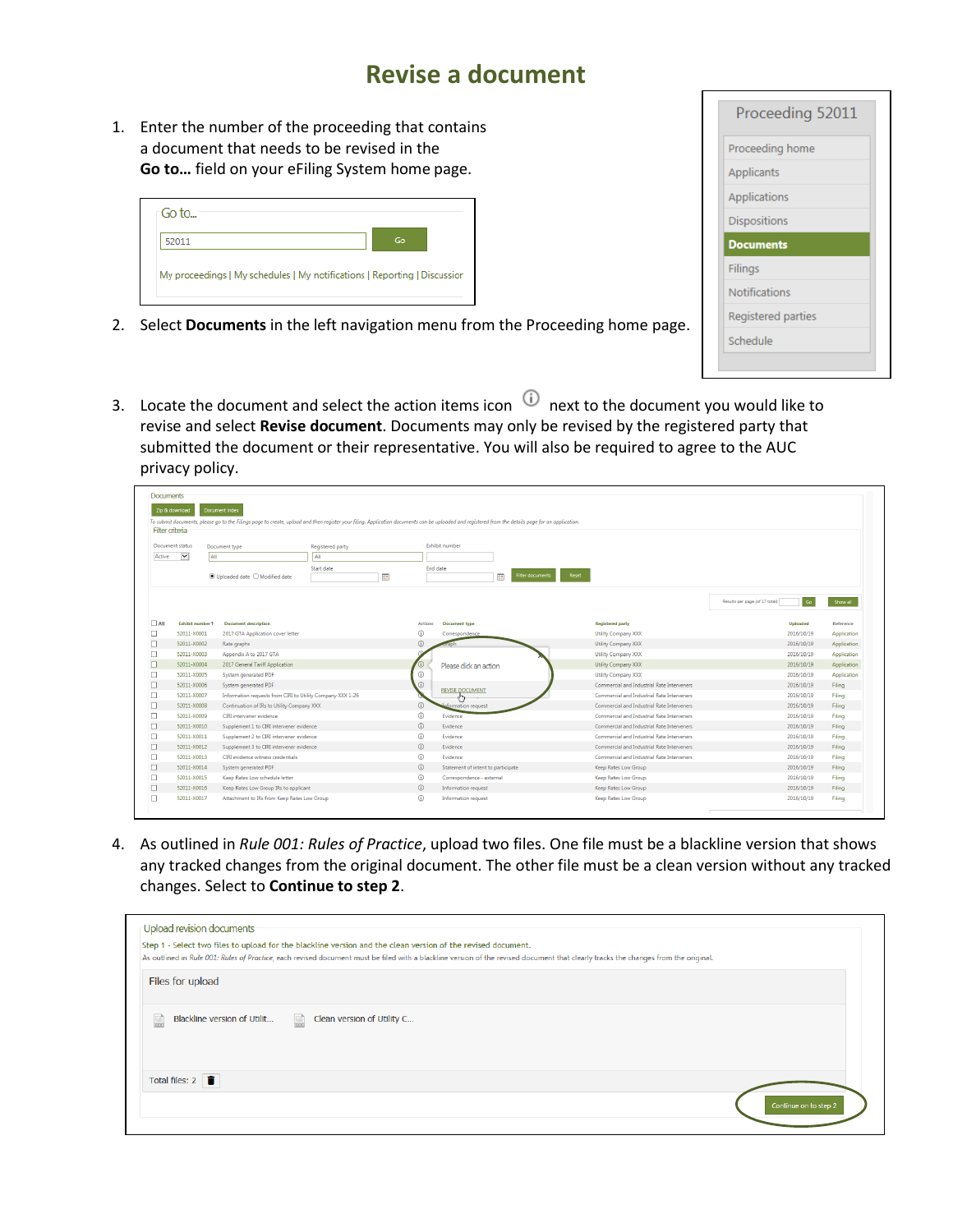## **Revise a document**

1. Enter the number of the proceeding that contains a document that needs to be revised in the **Go to…** field on your eFiling System home page.

| ⊤Go to…                                                                   |    |  |
|---------------------------------------------------------------------------|----|--|
| 52011                                                                     | Go |  |
| My proceedings   My schedules   My notifications   Reporting   Discussion |    |  |

- 2. Select **Documents** in the left navigation menu from the Proceeding home page.
- 3. Locate the document and select the action items icon  $\Theta$  next to the document you would like to revise and select **Revise document**. Documents may only be revised by the registered party that submitted the document or their representative. You will also be required to agree to the AUC privacy policy.

|                 | <b>Filter criteria</b>   |                                                            |                             |                |                                     |                                            |                                       |             |
|-----------------|--------------------------|------------------------------------------------------------|-----------------------------|----------------|-------------------------------------|--------------------------------------------|---------------------------------------|-------------|
| Document status |                          | Document type                                              | Registered party            |                | Exhibit number                      |                                            |                                       |             |
| Active          | $\vert \mathbf{v} \vert$ | All<br>All                                                 |                             |                |                                     |                                            |                                       |             |
|                 |                          | $\odot$ Uploaded date $\bigcirc$ Modified date             | Start date<br>$\frac{1}{2}$ | End date       | $\Box$ o<br><b>Filter documents</b> | Reset                                      |                                       |             |
|                 |                          |                                                            |                             |                |                                     |                                            | Go<br>Results per page (of 17 total): | Show all    |
| $\Box$ All      | <b>Exhibit number 1</b>  | <b>Document description</b>                                |                             | <b>Actions</b> | <b>Document type</b>                | <b>Registered party</b>                    | <b>Uploaded</b>                       | Reference   |
| □               | 52011-X0001              | 2017 GTA Application cover letter                          |                             | $^\circledR$   | Correspondence                      | Utility Company XXX                        | 2016/10/19                            | Application |
| □               | 52011-X0002              | Rate graphs                                                |                             | $\odot$        |                                     | Utility Company XXX                        | 2016/10/19                            | Application |
| □               | 52011-X0003              | Appendix A to 2017 GTA                                     |                             |                |                                     | Utility Company XXX                        | 2016/10/19                            | Application |
|                 | 52011-X0004              | 2017 General Tariff Application                            |                             |                | Please dick an action               | Utility Company XXX                        | 2016/10/19                            | Application |
| □               | 52011-X0005              | System generated PDF                                       |                             | $\odot$        |                                     | Utility Company XXX                        | 2016/10/19                            | Application |
|                 | 52011-X0006              | System generated PDF                                       |                             | $\odot$        | <b>REVISE DOCUMENT</b>              | Commercial and Industrial Rate Interveners | 2016/10/19                            | Filing      |
| □               | 52011-X0007              | Information requests from CIRI to Utility Company XXX 1-26 |                             |                |                                     | Commercial and Industrial Rate Interveners | 2016/10/19                            | Filing      |
| □               | 52011-X0008              | Continuation of IRs to Utility Company XXX                 |                             | $\odot$        | <b>Aformation</b> request           | Commercial and Industrial Rate Interveners | 2016/10/19                            | Filing      |
| □               | 52011-X0009              | CIRI intervener evidence                                   |                             | $\odot$        | Evidence                            | Commercial and Industrial Rate Interveners | 2016/10/19                            | Filing      |
|                 | 52011-X0010              | Supplement 1 to CIRI intervener evidence                   |                             | $\odot$        | Evidence                            | Commercial and Industrial Rate Interveners | 2016/10/19                            | Filing      |
| □               | 52011-X0011              | Supplement 2 to CIRI intervener evidence                   |                             | $\odot$        | Evidence                            | Commercial and Industrial Rate Interveners | 2016/10/19                            | Filing      |
|                 | 52011-X0012              | Supplement 3 to CIRI intervener evidence                   |                             | $\odot$        | Evidence                            | Commercial and Industrial Rate Interveners | 2016/10/19                            | Filing      |
| □               | 52011-X0013              | CIRI evidence witness credentials                          |                             | $\odot$        | Evidence                            | Commercial and Industrial Rate Interveners | 2016/10/19                            | Filing      |
| □               | 52011-X0014              | System generated PDF                                       |                             | $\odot$        | Statement of intent to participate  | Keep Rates Low Group                       | 2016/10/19                            | Filing      |
| □               | 52011-X0015              | Keep Rates Low schedule letter                             |                             | $\odot$        | Correspondence - external           | Keep Rates Low Group                       | 2016/10/19                            | Filing      |
|                 | 52011-X0016              | Keep Rates Low Group IRs to applicant                      |                             | $\odot$        | Information request                 | Keep Rates Low Group                       | 2016/10/19                            | Filing      |
|                 | 52011-X0017              | Attachment to IRs from Keep Rates Low Group                |                             | $\odot$        | Information request                 | Keep Rates Low Group                       | 2016/10/19                            | Filing      |

4. As outlined in *Rule 001: Rules of Practice*, upload two files. One file must be a blackline version that shows any tracked changes from the original document. The other file must be a clean version without any tracked changes. Select to **Continue to step 2**.

| Files for upload                    | As outlined in Rule 001: Rules of Practice, each revised document must be filed with a blackline version of the revised document that clearly tracks the changes from the original. |  |
|-------------------------------------|-------------------------------------------------------------------------------------------------------------------------------------------------------------------------------------|--|
| Blackline version of Utilit<br>U    | Clean version of Utility C<br>團                                                                                                                                                     |  |
| Total files: $2 \quad \blacksquare$ |                                                                                                                                                                                     |  |

| Proceeding 52011     |  |
|----------------------|--|
| Proceeding home      |  |
| Applicants           |  |
| Applications         |  |
| <b>Dispositions</b>  |  |
| <b>Documents</b>     |  |
| Filings              |  |
| <b>Notifications</b> |  |
| Registered parties   |  |
| Schedule             |  |
|                      |  |